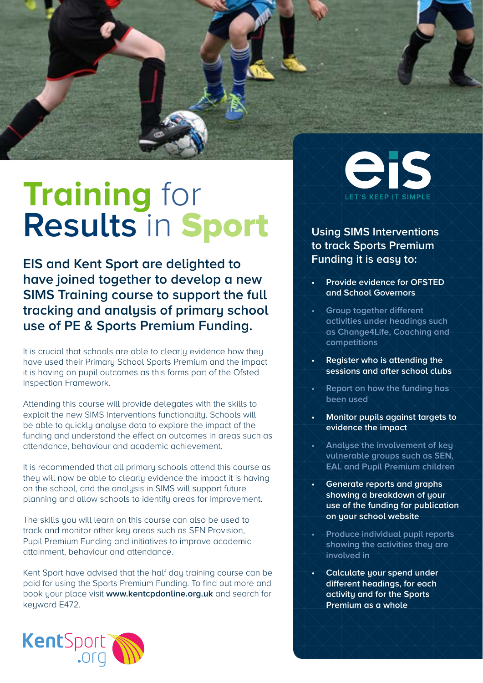

## **Training** for **Results** in Sport

**EIS and Kent Sport are delighted to have joined together to develop a new SIMS Training course to support the full tracking and analysis of primary school use of PE & Sports Premium Funding.**

It is crucial that schools are able to clearly evidence how they have used their Primary School Sports Premium and the impact it is having on pupil outcomes as this forms part of the Ofsted Inspection Framework.

Attending this course will provide delegates with the skills to exploit the new SIMS Interventions functionality. Schools will be able to quickly analyse data to explore the impact of the funding and understand the effect on outcomes in areas such as attendance, behaviour and academic achievement.

It is recommended that all primary schools attend this course as they will now be able to clearly evidence the impact it is having on the school, and the analysis in SIMS will support future planning and allow schools to identify areas for improvement.

The skills you will learn on this course can also be used to track and monitor other key areas such as SEN Provision, Pupil Premium Funding and initiatives to improve academic attainment, behaviour and attendance.

Kent Sport have advised that the half day training course can be paid for using the Sports Premium Funding. To find out more and book your place visit **www.kentcpdonline.org.uk** and search for keyword E472.





## **Using SIMS Interventions to track Sports Premium Funding it is easy to:**

- **Provide evidence for OFSTED and School Governors**
- *<u>Group together different</u>* **activities under headings such as Change4Life, Coaching and competitions**
- **Register who is attending the sessions and after school clubs**
- **Report on how the funding has been used**
- **• Monitor pupils against targets to evidence the impact**
- **Analyse the involvement of key vulnerable groups such as SEN, EAL and Pupil Premium children**
- **Generate reports and graphs showing a breakdown of your use of the funding for publication on your school website**
- **Produce individual pupil reports showing the activities they are involved in**
- **Calculate your spend under different headings, for each activity and for the Sports Premium as a whole**